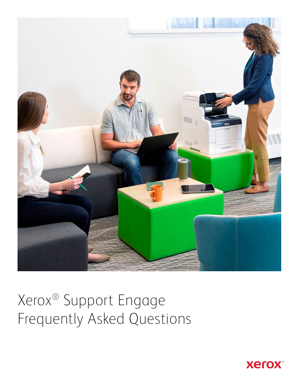

# Xerox® Support Engage Frequently Asked Questions

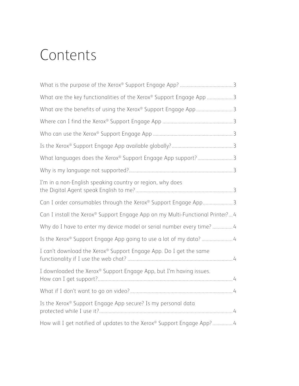## Contents

| What are the key functionalities of the Xerox® Support Engage App  3          |  |
|-------------------------------------------------------------------------------|--|
| What are the benefits of using the Xerox® Support Engage App 3                |  |
|                                                                               |  |
|                                                                               |  |
|                                                                               |  |
| What languages does the Xerox® Support Engage App support? 3                  |  |
|                                                                               |  |
| I'm in a non-English speaking country or region, why does                     |  |
| Can I order consumables through the Xerox® Support Engage App 3               |  |
| Can I install the Xerox® Support Engage App on my Multi-Functional Printer? 4 |  |
| Why do I have to enter my device model or serial number every time?  4        |  |
|                                                                               |  |
| I can't download the Xerox® Support Engage App. Do I get the same             |  |
| I downloaded the Xerox® Support Engage App, but I'm having issues.            |  |
|                                                                               |  |
| Is the Xerox® Support Engage App secure? Is my personal data                  |  |
| How will I get notified of updates to the Xerox® Support Engage App?4         |  |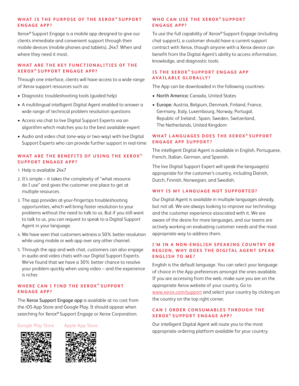#### WHAT IS THE PURPOSE OF THE XEROX® SUPPORT **ENGAGE APP?**

Xerox® Support Engage is a mobile app designed to give our clients immediate and convenient support through their mobile devices (mobile phones and tablets), 24x7. When and where they need it most.

#### WHAT ARE THE KEY FUNCTIONALITIES OF THE **XEROX ® SUPPORT ENGAGE APP?**

Through one interface, clients will have access to a wide range of Xerox support resources such as:

- Diagnostic troubleshooting tools (guided help)
- A multilingual intelligent Digital Agent enabled to answer a wide range of technical problem resolution questions
- Access via chat to live Digital Support Experts via an algorithm which matches you to the best available expert
- Audio and video chat (one-way or two-way) with live Digital Support Experts who can provide further support in real-time

### **WHAT ARE THE BENEFITS OF USING THE XEROX ® SUPPORT ENGAGE APP?**

- 1. Help is available 24x7
- 2. It's simple it takes the complexity of "what resource do I use" and gives the customer one place to get at multiple resources.
- 3. The app provides at-your-fingertips troubleshooting opportunities, which will bring faster resolution to your problems without the need to talk to us. But if you still want to talk to us, you can request to speak to a Digital Support Agent in your language.
- 4. We have seen that customers witness a 50% better resolution while using mobile or web app over any other channel.
- 5. Through the app and web chat, customers can also engage in audio and video chats with our Digital Support Experts. We've found that we have a 30% better chance to resolve your problem quickly when using video – and the experience is richer.

#### WHERE CAN I FIND THE XEROX® SUPPORT **ENGAGE APP?**

The Xerox Support Engage app is available at no cost from the iOS App Store and Google Play. It should appear when searching for Xerox® Support Engage or Xerox Corporation.

Google Play Store Apple App Store





#### **WHO CAN USE THE XEROX® SUPPORT ENGAGE APP?**

To use the full capability of Xerox® Support Engage (including chat support), a customer should have a current support contract with Xerox, though anyone with a Xerox device can benefit from the Digital Agent's ability to access information, knowledge, and diagnostic tools.

#### **IS THE XEROX® SUPPORT ENGAGE APP AVAILABLE GLOBALLY?**

The App can be downloaded in the following countries:

- North America: Canada, United States
- Europe: Austria, Belgium, Denmark, Finland, France, Germany, Italy, Luxembourg, Norway, Portugal, Republic of Ireland , Spain, Sweden, Switzerland, The Netherlands, United Kingdom

#### WHAT LANGUAGES DOES THE XEROX® SUPPORT **ENGAGE APP SUPPORT?**

The intelligent Digital Agent is available in English, Portuguese, French, Italian, German, and Spanish.

The live Digital Support Expert will speak the language(s) appropriate for the customer's country, including Danish, Dutch, Finnish, Norwegian, and Swedish.

#### **WHY IS MY LANGUAGE NOT SUPPORTED?**

Our Digital Agent is available in multiple languages already, but not all. We are always looking to improve our technology and the customer experience associated with it. We are aware of the desire for more languages, and our teams are actively working on evaluating customer needs and the most appropriate way to address them.

#### **I'M IN A NON-ENGLISH SPEAKING COUNTRY OR REGION, WHY DOES THE DIGITAL AGENT SPEAK ENGLISH TO ME?**

English is the default language. You can select your language of choice in the App preferences amongst the ones available. If you are accessing from the web, make sure you are on the appropriate Xerox website of your country. Go to <www.xerox.com/support>and select your country by clicking on the country on the top right corner.

#### **CAN I ORDER CONSUMABLES THROUGH THE XEROX ® SUPPORT ENGAGE APP?**

Our intelligent Digital Agent will route you to the most appropriate ordering platform available for your country.